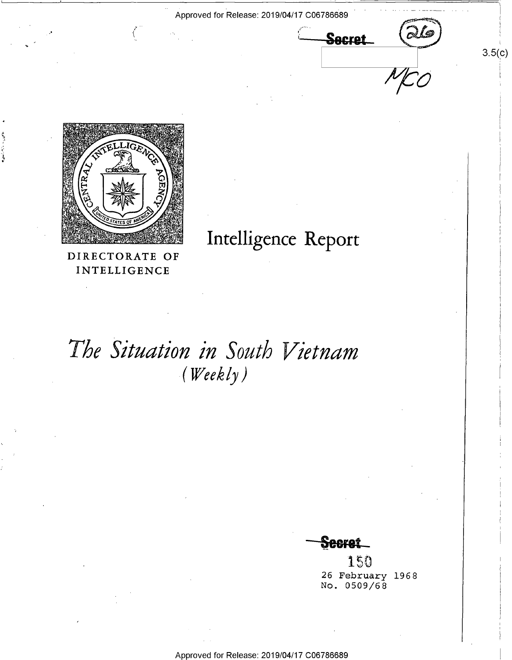Approved for Release: 2019/04/17 C06786689 \_

Secret

 $\overline{O}$ 

 $3.5(c)$ 



DIRECTORATE OF INTELLIGENCE

## Intelligence Report

# The Situation in South Vietnam  $(kWeekly)$

 $\bf{S}$ eeret

150 26 February 1968 No. 0509/68

Approved for Release: 2019/04/17 C06786689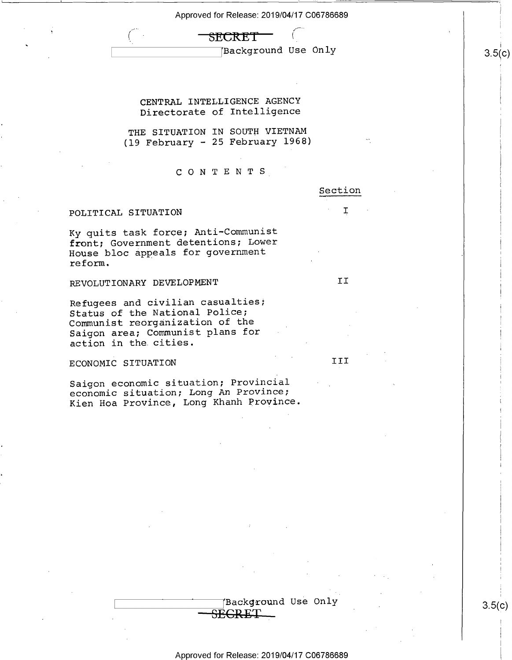### SECRET

Background Use Only  $\qquad \qquad \Big\vert \qquad \qquad 3.5(c)$ 

CENTRAL INTELLIGENCE AGENCY Directorate of Intelligence

 $\sim$  . In the case of the case of the case of the case of the case of the case of the case of the case of the case of the case of the case of the case of the case of the case of the case of the case of the case of the cas

THE SITUATION IN SOUTH VIETNAM (l9 February — 25 February 1968)

CONTENTS,

### POLITICAL SITUATION

Ky quits task force; Anti-Communist front; Government detentions; Lower House bloc appeals for government reform.

REVOLUTIONARY DEVELOPMENT **II** 

Refugees and civilian casualties; Status of the National Police; Communist reorganization of the Saigon area; Communist plans for action in the.cities.

ECONOMIC SITUATION TII

Saigon economic situation; Provincial economic situation; Long An Province; Kien Hoa Province, Long Khanh Province.

Approved for Release: 2019/04/17 C06786689

 $\tt{SECRET}$ 

 $\left( \begin{array}{ccc} 1 & 0 & 0 \\ 0 & 0 & 0 \\ 0 & 0 & 0 \end{array} \right)$   $\left( \begin{array}{ccc} 3.5(0) & 0 & 0 \\ 0 & 3.5(0) & 0 \\ 0 & 0 & 0 \end{array} \right)$ 

Section

I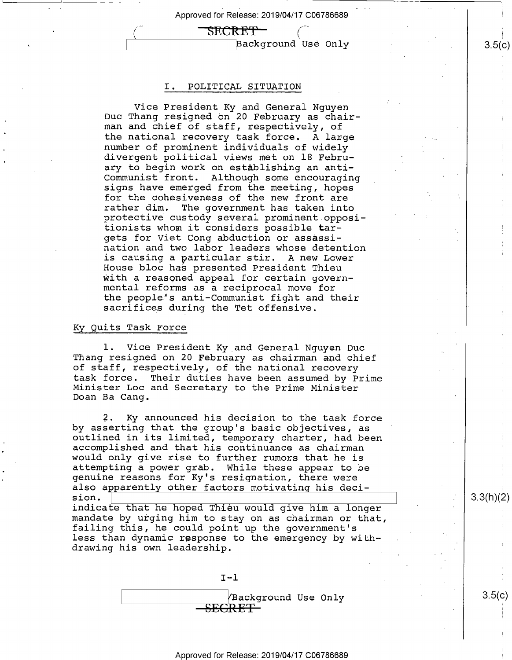## ("~ \_S'EC'R'E"P\_ '>

 $\texttt{Background Use Only}$  3.5(c)

i

### 1. POLITICAL SITUATION

Vice President Ky and General Nguyen Duc Thang resigned on 20 February as chair- man and chief of staff, respectively, of the national recovery task force. A large number of prominent individuals of widely \ divergent political views met on 18 February to begin work on establishing an anti-Communist front. Although some encouraging signs have emerged from the meeting, hopes for the cohesiveness of the new front are<br>rather dim. The government has taken into protective custody several prominent oppositionists whom it considers possible targets for Viet Cong abduction or assassination and two labor leaders whose detention is causing a particular stir. A new Lower House bloc has presented President Thieu with a reasoned appeal for certain governmental reforms as a reciprocal move for the people's anti-Communist fight and their sacrifices during the Tet offensive.

### Ky Quits Task Force

l. Vice President Ky\_and General Nguyen Duc Thang resigned on 20 February as chairman and chief of staff, respectively, of the national recovery<br>task force. Their duties have been assumed by Prime Minister Loc and Secretary to the Prime Minister Doan Ba Cang.

2. Ky announced his decision to the task force by asserting that the group's basic objectives, as outlined in its limited, temporary charter, had been <sup>1</sup> accomplished and that his continuance as chairman would only give rise to further rumors that he is attempting a power grab. While these appear to be genuine reasons for Ky's resignation, there were also apparently other factors motivating his deci-<br>sion.

indicate that he hoped Thieu would give him a longer mandate by urging him to stay on as chairman or that, failing this, he could point up the government's less than dynamic response to the emergency by withdrawing his own leadership.

I—l <sup>T</sup>

 $\sqrt{$ Background Use Only  $\sqrt{}$  3.5(c)  $\operatorname{SEGREF}$ 

 $3.3(h)(2)$ 

Approved for Release: 2019/04/17 C06786689 \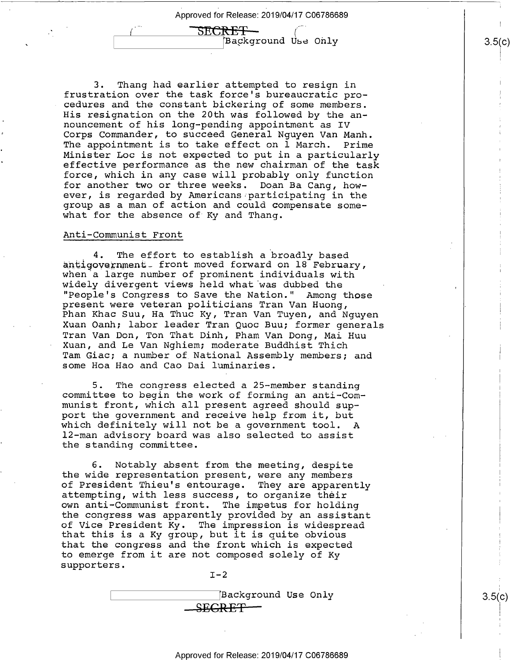SECRE<del>T -</del> Background Use Only

 $\vert \rm^C)$ 

1<br>|<br>|<br>|

II

3.5(c)

3. Thang had earlier attempted to resign in frustration over the task force's bureaucratic pro cedures and the constant bickering of some members. His resignation on the 20th was followed by the announcement of his long—pending appointment as IV Corps Commander, to succeed General Nguyen Van Manh. The appointment is to take effect on 1 March. Prime<br>Minister Loc is not expected to put in a particularly effective performance as the new chairman of the task force, which in any case will probably only function for another two or three weeks. Doan Ba Cang, how-<br>ever, is regarded by Americans participating in the group as a man of action and could compensate somewhat for the absence of Ky and Thang.

### Anti-Communist Front

4. The effort to establish a broadly based<br>antiqovernment front moved forward on 18 February, when a large number of prominent individuals with widely divergent views held what was dubbed the "People's Congress to Save the Nation." Among those<br>present were veteran politicians Tran Van Huong,<br>Phan Khac Suu, Ha Thuc Ky, Tran Van Tuyen, and Nguyen Xuan Oanh; labor leader Tran Quoc Buu; former generals Tran Van Don, Ton That Dinh, Pham Van Dong, Mai Huu Xuan, and Le Van Nghiem; moderate Buddhist Thich Tam Giac; a number of National Assembly members; and some Hoa Hao and Cao Dai luminaries.

5. The congress elected a 25—member standing committee to begin the work of forming an anti—Com munist front, which all present agreed should support the government and receive help from it, but<br>which definitely will not be a government tool. A 12-man advisory board was also selected to assist the standing committee.

6. Notably absent from the meeting, despite the wide representation present, were any members of President Thieu's entourage. They are apparently attempting, with less success, to organize their own anti-Communist front. The impetus for holding the congress was apparently provided by an assistant<br>of Vice President Ky. The impression is widespread that this is a Ky group, but it is quite obvious that the congress and the front which is expected to emerge from it are not composed solely of Ky<br>supporters.<br>I-2

Background Use Only <del>SECRET</del>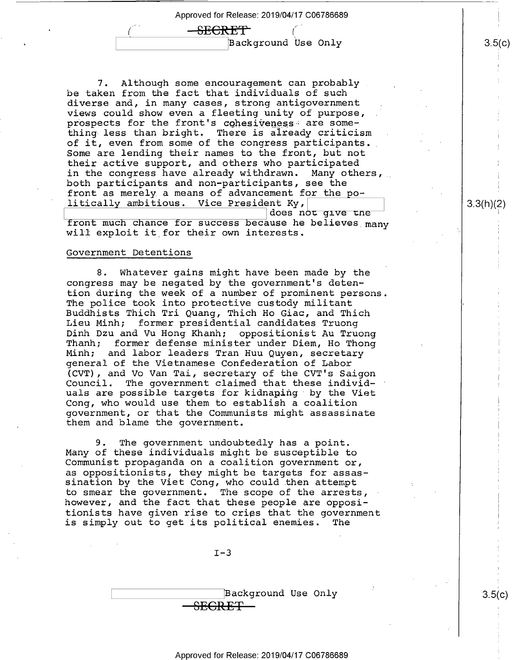$-$ SECRET \ [Background Use Only

7. Although some encouragement can probably , be taken from the fact that individuals of such diverse and, in many cases, strong antigovernment views could show even a fleeting unity of purpose, . prospects for the front's cohesiveness are something less than bright. There is already criticism of it, even from some of the congress participants. Some are lending their names to the front, but not their active support, and others who participated in the congress have already withdrawn. Many others, both participants and non—participants, see the front as merely a means of advancement for the politically ambitious. Vice President Ky, does not qive the

front much chance for success because he believes  $_{\tt many}$ will exploit it for their own interests.

### Government Detentions

8. Whatever gains might have been made by the congress may be negated by the government's detention during the week of a number of prominent persons.<br>The police took into protective custody militant Buddhists Thich Tri Quang, Thich Ho Giac, and Thich<br>Lieu Minh; former presidential candidates Truong Dinh Dzu and Vu Hong Khanh; oppositionist Au Truong Thanh; former defense minister under Diem, Ho Thong<br>Minh; and labor leaders Tran Huu Quyen, secretary general of the Vietnamese Confederation of Labor (CVT), and Vo Van Tai, secretary of the CVT's Saigon Council. The government claimed that these individuals are possible targets for kidnaping" by the Viet Cong, who would use them to establish a coalition government, or that the Communists might assassinate them and blame the government.

9. The government undoubtedly has a point.<br>Many of these individuals might be susceptible to Communist propaganda on a coalition government or,<br>as oppositionists, they might be targets for assassination by the Viet Cong, who could then attempt to smear the government. The scope of the arrests, however, and the fact that these people are oppositionists have given rise to cries that the government is simply out to get its political enemies. The

 $I-3$ 

Background Use Only <del>SECRET—</del>

### Approved for Release: 2019/04/17 C06786689

 $3.5(c)$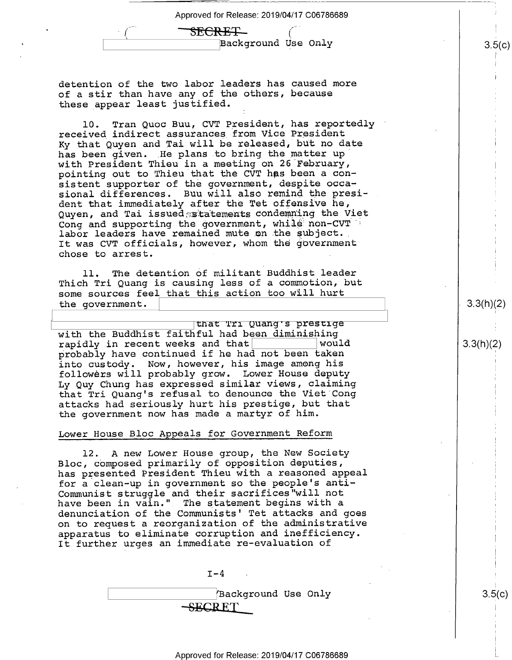| Approved for Release: 2019/04/17 C06786689 |  |
|--------------------------------------------|--|
| SECRET_                                    |  |
| Background Use Only                        |  |

detention of the two labor leaders has caused more of a stir than have any of the others, because these appear least justified.

10. Tran Quoc Buu, CVT President, has reportedly ' received indirect assurances from Vice President Ky that Quyen and Tai will be released, but no date has been given. He plans to bring the matter up with President Thieu in a meeting on 26 February, pointing out to Thieu that the CVT has been a consistent supporter of the government, despite occasional differences. Buu will also remind the president that immediately after the Tet offensive he, Quyen, and Tai issued statements condemning the Viet Cong and supporting the government, while non-CVT labor leaders have remained mute on the subject. It was CVT officials, however, whom the government chose to arrest. .

ll. The detention of militant Buddhist leader Thich Tri Quang is causing less of a commotion, but some sources feel that this action too will hurt the government.

that Tri Quang's prestige with the Buddhist faithful had been diminishing<br>rapidly in recent weeks and that rapidly in recent weeks and that  $|$  would  $|3.3(h)(2)|$ probably have continued if he had not been taken into custody. Now, however, his image among his followers will probably grow. Lower House deputy Ly Quy Chung has expressed similar views, claiming that Tri Quang's refusal to denounce the Viet'Cong attacks had seriously hurt his prestige, but that the government now has made a martyr of him.

### Lower House Bloc Appeals for Government Reform

12. A new Lower House group, the New Society Bloc, composed primarily of opposition deputies, has presented President Thieu with a reasoned appeal for a clean-up in government so the people's anti-Communist struggle and their sacrifices"will not have been in vain." The statement begins with a denunciation of the Communists' Tet attacks and goes on to request a reorganization of the administrative apparatus to eliminate corruption and inefficiency. It further urges an immediate re—evaluation of

 $I-4$   $|$  $\{ Background Use Only \qquad | \qquad 3.5(c)$  $-$ SECRET

 $3.3(h)(2)$ 

H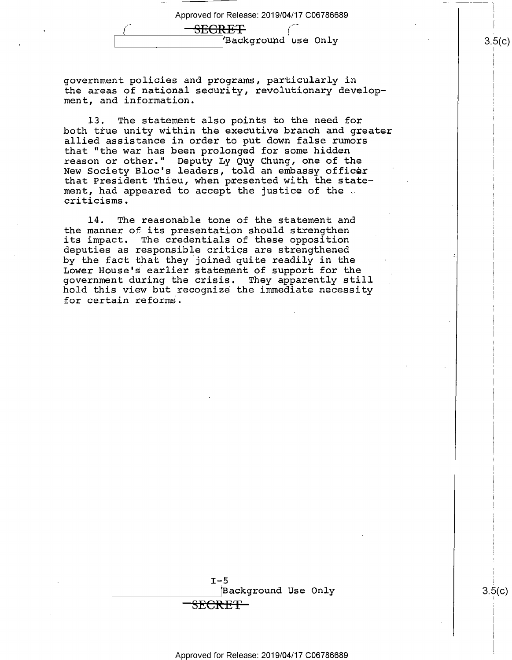<del>SECRET</del> Background use Only

government policies and programs, particularly in the areas of national security, revolutionary development, and information.

l3. The statement also points to the need for both true unity within the executive branch and greater allied assistance in order to put down false rumors that "the war has been prolonged for some hidden reason or other." Deputy Ly Quy Chung, one of the New Society Bloc's leaders, told an embassy officer that President Thieu, when presented with the statement, had appeared to accept the justice of the ... criticisms.

l4. The reasonable tone of the statement and the manner of its presentation should strengthen its impact. The credentials of these opposition deputies as responsible critics are strengthened by the fact that they joined quite readily in the Lower House's earlier statement of support for the government during the crisis. They apparently still hold this view but recognize the immediate necessity for certain reforms.



 $\blacksquare$ 

T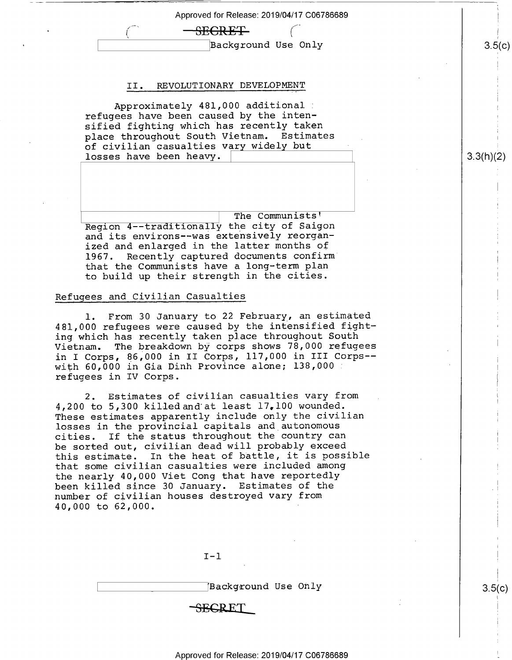Approved for Release: 2019/04/17 C06786689 <del>SECRET</del> \ [Background Use Only II . REVOLUTIONARY DEVELOPMENT Approximately 481,000 additional\_ refugees have been caused by the intensified fighting which has recently taken place throughout South Vietnam. Estimates \_ of civilian casualties vary widely but losses have been heavy. Region 4--traditionally the city of Saigon The Communists' and its environs-—was extensively reorganized and enlarged in the latter months of 1967. Recently captured documents confirm" that the Communists have a long-term plan  $3.5(c)$ 3.3(h)(2)

### Refugees and Civilian Casualties

1. From 30 January to 22 February, an estimated 481,000 refugees were caused by the intensified fighting which has recently taken place throughout South Vietnam. The breakdown by corps shows 78,000 refugees in I Corps, 86,000 in II Corps, 117,000 in III Corps- with 60,000 in Gia Dinh Province alone; 138,000. refugees in IV Corps.

to build up their strength in the cities.

2. Estimates of civilian casualties vary from 4,200 to 5,300 killedand at least 17,100 wounded. These estimates apparently include only the civilian losses in the provincial capitals and autonomous<br>cities. If the status throughout the country ca If the status throughout the country can be sorted out, civilian dead will probably exceed this estimate. In the heat of battle, it is possible that some civilian casualties were included among the nearly 40,000 Viet Cong that have reportedly been killed since 30 January. Estimates of the number of civilian houses destroyed vary from 40,000 to 62,000.

 $I - 1$ 

\ {Background Use Only

<del>SEC</del>RET

Approved for Release: 2019/04/17 C06786689

<u>၁,၁</u>(C)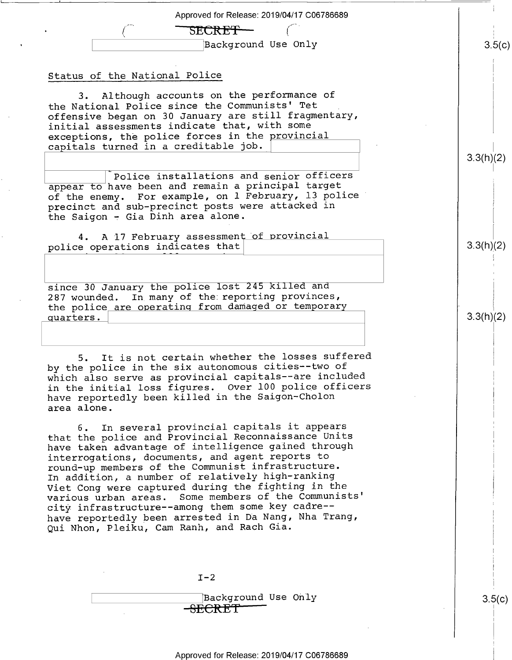Approved for Release: 2019/04/17 C06786689 SECRET — \ [Background Use Only <u>၁.၁</u>(C) Status of the National Police 3. Although accounts on the performance of the National Police since the Communists' Tet \_ offensive began on 30 January are still fragmentary, initial assessments indicate that, with some exceptions, the police forces in the provincial capitals turned in a creditable job. 3.3(h)(2) police installations and senior officers<br>appear to have been and remain a principal target of the enemy. For example, on 1 February, l3 police' precinct and sub-precinct posts were attacked in the Saigon  $-$  Gia Dinh area alone. 4. A 17 February assessment of provincial  $3.3(h)(2)$ police operations indicates that' since 30 January the police lost 245 killed and 287 wounded. In many of the reporting provinces, the police are operating from damaged or temporary  $3.3(h)(2)$ uarters . 5. It is not certain whether the losses suffered by the police in the six autonomous cities--two of which also serve as provincial capitals——are included in the initial loss figures. Over 100 police officers have reportedly been killed in the Saigon—Cholon area alone. 6. In several provincial capitals it appears that the police and Provincial Reconnaissance Units have taken advantage of intelligence gained through interrogations, documents, and agent reports to round—up members of the Communist infrastructure. In addition, a number of relatively high-ranking Viet Cong were captured during the fighting in the various urban areas. Some members of the Communists' city infrastructure——among them some key cadre— have reportedly been arrested in Da Nang, Nha Trang, Qui Nhon, Pleiku, Cam Ranh, and Rach Gia.  $I-2$ Background Use Only<br><del>SECRET</del> ၁.၁(C)

I I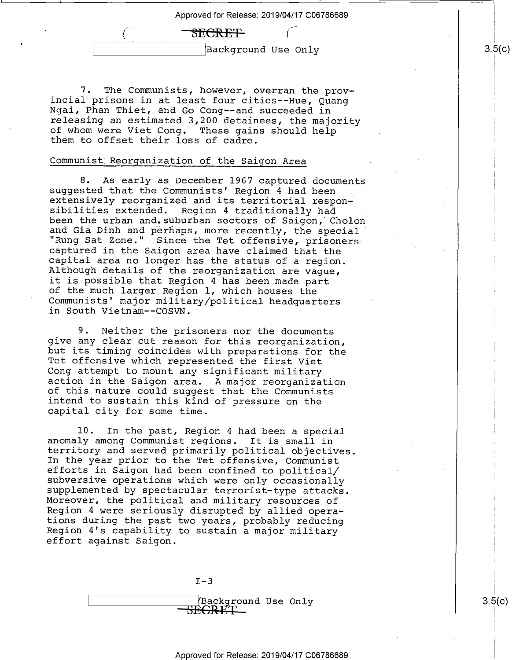### SEGRE<del>T</del>

iBackground Use Only

7. The Communists, however, overran the prov-<br>incial prisons in at least four cities--Hue, Quang<br>Ngai, Phan Thiet, and Go Cong--and succeeded in<br>releasing an estimated 3,200 detainees, the majority of whom were Viet Cong. These gains should help them to offset their loss of cadre.

### Communist Reorganization of the Saigon Area

 $\left( \begin{array}{cc} \cdot \end{array} \right)$ 

8. As early as December 1967 captured documents suggested that the Communists' Region 4 had been extensively reorganized and its territorial respon- sibilities extended. Region 4 traditionally had been the urban and suburb and Gia Dinh and perhaps, more recently, the special "Rung Sat Zone." Since the Tet offensive, prisoners captured in the Saigon area have claimed that the capital area no longer has the status of a region. Although details it is possible that Region 4 has been made part<br>of the much larger Region 1, which houses the Communists' major military/political headquarters in South Vietnam——COSVN.

9. Neither the prisoners nor the documents<br>give any clear cut reason for this reorganization,<br>but its timing coincides with preparations for the<br>Tet offensive which represented the first Viet<br>Cong attempt to mount any sign

10. In the past, Region 4 had been a special<br>anomaly among Communist regions. It is small in<br>territory and served primarily political objectives.<br>In the year prior to the Tet offensive, Communist<br>efforts in Saigon had been Moreover, the political and military resources of<br>Region 4 were seriously disrupted by allied operations during the past two years, probably reducing<br>Region 4's capability to sustain a major military<br>effort against Saigon.

 $I-3$ 



<u>၁.၁</u>(C)

၁.၁(C)

§ i

|<br>|<br>|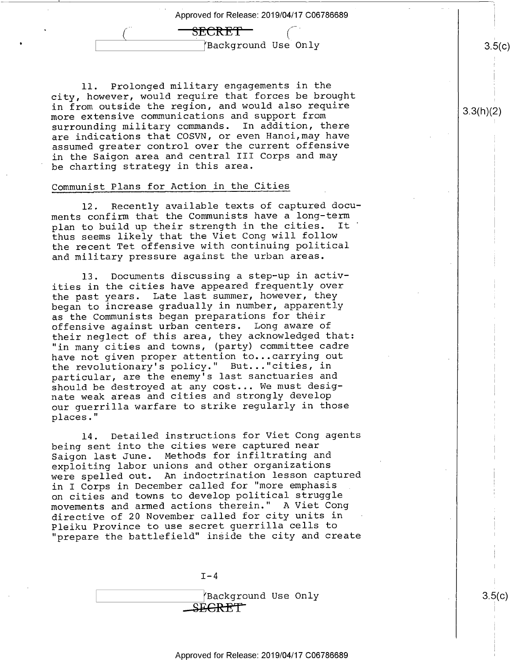<del>SECRET\_</del>

Background Use Only

ll. Prolonged military engagements in the city, however, would require that forces be brought in from outside the region, and would also require more extensive communications and support from surrounding military commands. In addition, there are indications that COSVN, or even Hanoi,may have assumed greater control over the current offensive in the Saigon area and central III Corps and may be charting strategy in this area.

### Communist Plans for Action in the Cities

'

l2. Recently available texts of captured docu ments confirm that the Communists have a long-term<br>plan to build up their strength in the cities. It plan to build up their strength in the cities. thus seems likely that the Viet Cong will follow the recent Tet offensive with continuing political and military pressure against the urban areas.

13. Documents discussing a step—up in activities in the cities have appeared frequently over the past years. Late last summer, however, they began to increase gradually in number, apparently as the Communists began preparations for their offensive against urban centers. Long aware of their neglect of this area, they acknowledged that: "in many cities and towns, (party) committee cadre have not given proper attention to...carrying out the revolutionary's policy." But..."cities, in particular, are the enemy's last sanctuaries and should be destroyed at any cost... We must designate weak areas and cities and strongly develop our guerrilla warfare to strike regularly in those places."

l4. Detailed instructions for Viet Cong agents being sent into the cities were captured near Saigon last June. Methods for infiltrating and exploiting labor unions and other organizations were spelled out. An indoctrination lesson captured in I Corps in December called for "more emphasis on cities and towns to develop political struggle movements and armed actions therein." A Viet Cong directive of 20 November called for city units in Pleiku Province to use secret guerrilla cells to "prepare the battlefield" inside the city and create

 $T-4$ 

 $\sqrt{$ Background Use Only  $\sqrt{}$  3.5(c) SEGRET

il C

 $3.5(c)$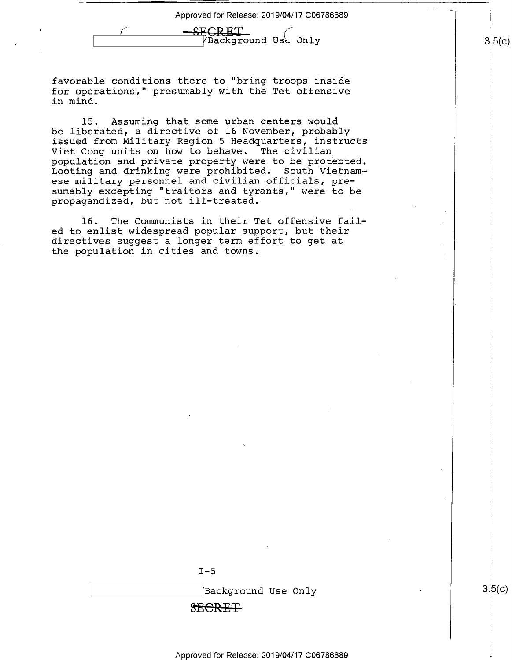<u>--SECRET</u> Background Ust Only

favorable conditions there to "bring troops inside for operations," presumably with the Tet offensive in mind.

15. Assuming that some urban centers would be liberated, a directive of 16 November, probably issued from Military Region 5 Headquarters, instructs Viet Cong units on how to behave. The civilian population and private property were to be protected. Looting and drinking were prohibited. South Vietnamese military personnel and civilian officials, presumably excepting "traitors and tyrants," were to be propagandized, but not ill—treated.

l6. The Communists in their Tet offensive failed to enlist widespread popular support, but their directives suggest a longer term effort to get at the population in cities and towns.



 $3.5(c)$ 

Approved for Release: 2019/04/17 C06786689

 $3.5(c)$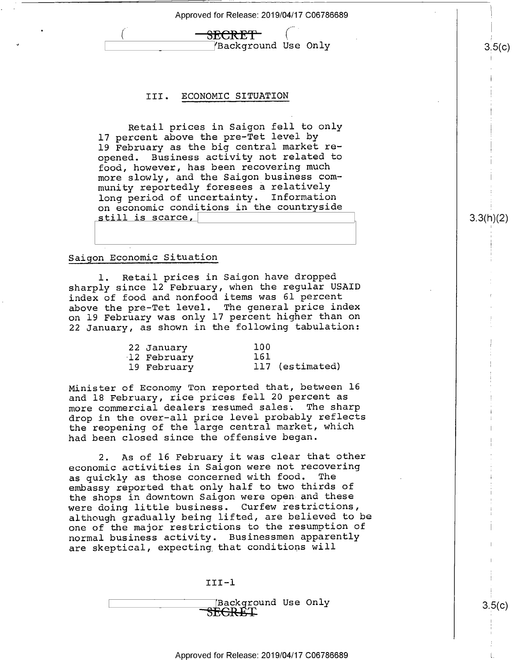SECRETT Background Use Only

### III. Economic STTUATION

Retail prices in Saigon fell to only 17 percent above the pre—Tet level by 19 February as the big central market reopened. Business activity not related to food, however, has been recovering much more slowly, and the Saigon business community reportedly foresees a relatively long period of uncertainty. Information on economic conditions in the countryside still is scarce,

### Saigon Economic Situation

'

l. Retail prices in Saigon have dropped sharply since 12 February, when the regular USAID index of food and nonfood items was 61 percent above the pre—Tet level. The general price index on 19 February was only l7 percent higher than on 22 January, as shown in the following tabulation:

| 22 January  | 100 |                 |
|-------------|-----|-----------------|
| 12 February | 161 |                 |
| 19 February |     | 117 (estimated) |

Minister of Economy Ton reported that, between l6 and 18 February, rice prices fell 20 percent as more commercial dealers resumed sales. The sharp drop in the over-all price level probably reflects the reopening of the large central market, which had been closed since the offensive began.

2. As of 16 February it was clear that other economic activities in Saigon were not recovering as quickly as those concerned with food. The embassy reported that only half to two thirds of the shops in downtown Saigon were open and these were doing little business. Curfew restrictions, although gradually being lifted, are believed to be one of the major restrictions to the resumption of normal business activity. Businessmen apparently are skeptical, expecting that conditions will

III-l

\_Background Use Only<br>SE<del>CRET</del>

3.3(h)(2)

 $\mathfrak{g}$ 

s.5(¢)

L.

 $3.5(c)$ 

.<br>.<br>.

\ r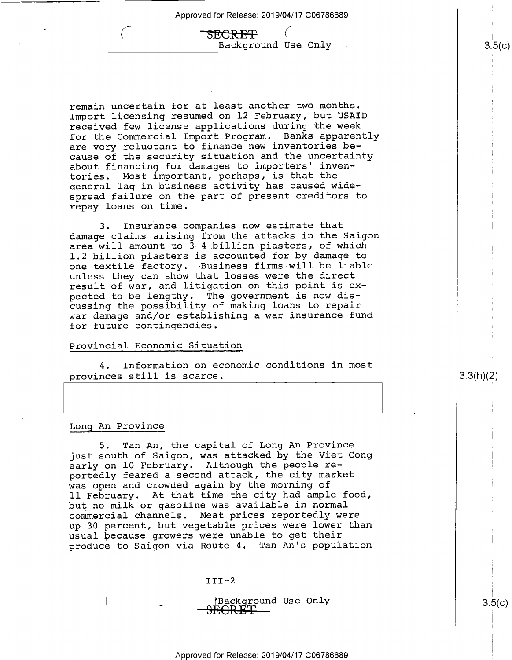F ,  $\beta$ Background Use  $Only$  .  $3.5(c)$ 

**1** 

1{i

remain uncertain for at least another two months. Import licensing resumed on l2 February, but USAID received few license applications during the week for the Commercial Import Program. Banks apparently are very reluctant to finance new inventories because of the security situation and the uncertainty about financing for damages to importers' inven tories. Most important, perhaps, is that the general lag in business activity has caused wide spread failure on the part of present creditors to repay loans on time.

TSECREF

Insurance companies now estimate that damage claims arising from the attacks in the Saigon area will amount to 3-4 billion piasters, of which 1.2 billion piasters is accounted for by damage to one textile factory. Business firms will be liable unless they can show that losses were the direct result of war, and litigation on this point is expected to be lengthy. The government is now discussing the possibility of making loans to repair war damage and/or establishing a war insurance fund for future contingencies.

### Provincial Economic Situation

4. Information on economic conditions in most provinces still is scarce. \

### Long An Province

'

5. Tan An, the capital of Long An Province just south of Saigon, was attacked by the Viet Cong early on l0 February. Although the people reportedly feared a second attack, the city market was open and crowded again by the morning of ll February. At that time the city had ample food, but no milk or gasoline was available in normal commercial channels. Meat prices reportedly were up 30 percent, but vegetable prices were lower than usual because growers were unable to get their produce to Saigon via Route 4. Tan An's population

 $III-2$ 

\_\_YBackground Use Only<br><del>SECRET \_</del>

<u>၁.၁</u>(C)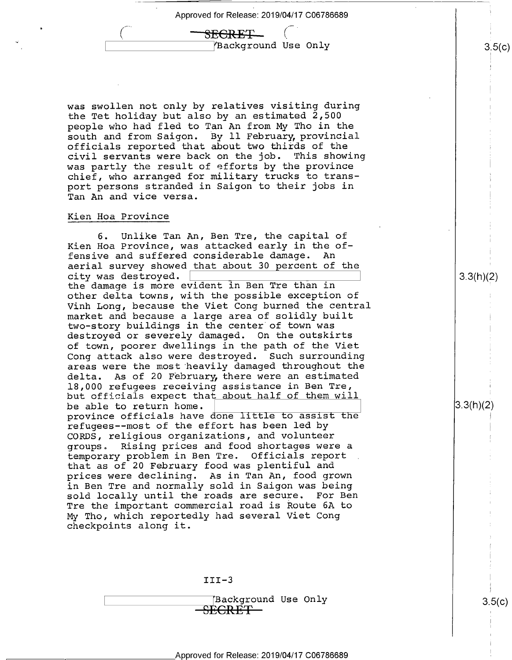<del>SECRET\_</del> YBackground Use Only

was swollen not only by relatives visiting during the Tet holiday but also by an estimated 2,500 people who had fled to Tan An from My Tho in the south and from Saigon. By ll February provincial officials reported that about two thirds of the civil servants were back on the job. This showing was partly the result of efforts by the province chief, who arranged for military trucks to transport persons stranded in Saigon to their jobs in Tan An and vice versa.

### Kien Hoa Province

p

6. Unlike Tan An, Ben Tre, the capital of Kien Hoa Province, was attacked early in the offensive and suffered considerable damage. An aerial survey showed that about 30 percent of the city was destroyed. \ the damage is more evident in Ben Tre than in other delta towns, with the possible exception of Vinh Long, because the Viet Cong burned the central market and because a large area of solidly built two—story buildings in the center of town was destroyed or severely damaged. On the outskirts of town, poorer dwellings in the path of the Viet Cong attack also were destroyed. Such surrounding areas were the most'heavily damaged throughout the delta. As of 20 February, there were an estimated<br>18,000 refugees receiving assistance in Ben Tre, but officials expect that about half of them will be able to return home. province officials have done little to assist the refugees—-most of the effort has been led by CORDS, religious organizations, and volunteer groups. Rising prices and food shortages were a temporary problem in Ben Tre. Officials report . that as of 20 February food was plentiful and prices were declining. As in Tan An, food grown in Ben Tre and normally sold in Saigon was being sold locally until the roads are secure. For Ben Tre the important commercial road is Route 6A to My Tho, which reportedly had several Viet Cong checkpoints along it.

 $III-3$ 

Background Use Only  $-$ SEGRET $-$ 

 $3.5(c)$ 

 $3.5(c)$ 

 $\overline{1}$ 

 $3.3(h)(2)$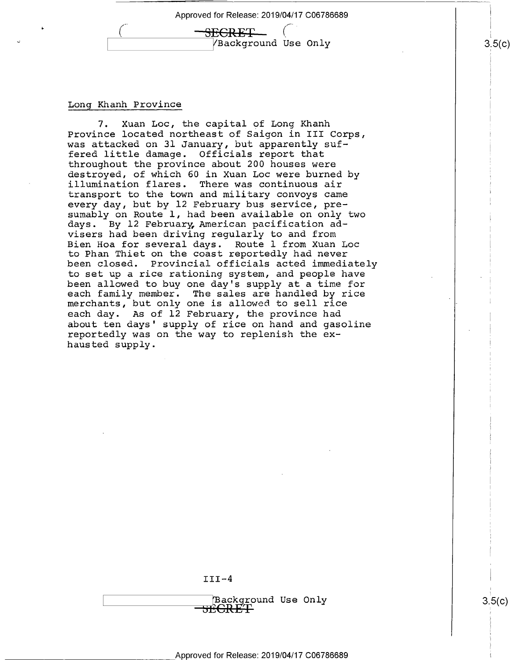$\pm$ GRET  $\sqrt{Background}$  Use Only  $\sqrt{Background}$  3.5(c)

### Long Khanh Province

\*

7. Xuan Loc, the capital of Long Khanh Province located northeast of Saigon in III Corps, was attacked on 31 January, but apparently suf-<br>fered little damage. Officials report that fered little damage. throughout the province about 200 houses were<br>destroyed, of which 60 in Xuan Loc were burned by illumination flares. There was continuous air transport to the town and military convoys came every day, but by l2 February bus service, presumably on Route l, had been available on only two days. By l2 February American pacification ad visers had been driving regularly to and from Bien Hoa for several days. Route l from Xuan Loc to Phan Thiet on the coast reportedly had never been closed. Provincial officials acted immediately to set up a rice rationing system, and people have been allowed to buy one day's supply at a time for each family member. The sales are handled by rice merchants, but only one is allowed to sell rice each day. As of l2 February, the province had about ten days' supply of rice on hand and gasoline reportedly was on the way to replenish the exhausted supply.

 $III-4$ 

 $\times$  (Background Use Only  $3.5(c)$ )  $3.5(c)$